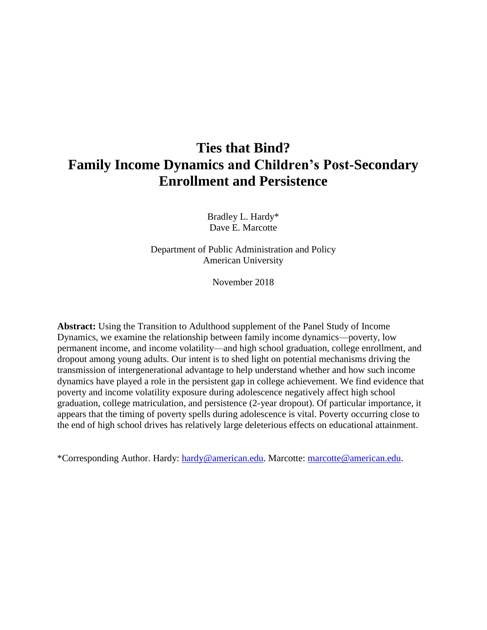# **Ties that Bind? Family Income Dynamics and Children's Post-Secondary Enrollment and Persistence**

Bradley L. Hardy\* Dave E. Marcotte

Department of Public Administration and Policy American University

November 2018

**Abstract:** Using the Transition to Adulthood supplement of the Panel Study of Income Dynamics, we examine the relationship between family income dynamics—poverty, low permanent income, and income volatility—and high school graduation, college enrollment, and dropout among young adults. Our intent is to shed light on potential mechanisms driving the transmission of intergenerational advantage to help understand whether and how such income dynamics have played a role in the persistent gap in college achievement. We find evidence that poverty and income volatility exposure during adolescence negatively affect high school graduation, college matriculation, and persistence (2-year dropout). Of particular importance, it appears that the timing of poverty spells during adolescence is vital. Poverty occurring close to the end of high school drives has relatively large deleterious effects on educational attainment.

\*Corresponding Author. Hardy: [hardy@american.edu.](mailto:hardy@american.edu) Marcotte: [marcotte@american.edu.](mailto:marcotte@american.edu)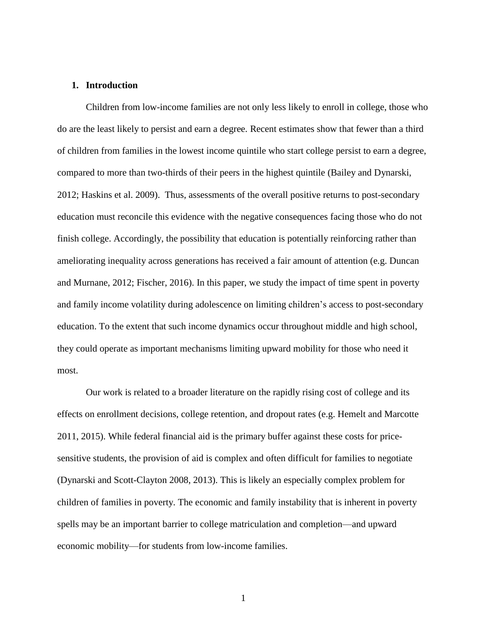# **1. Introduction**

Children from low-income families are not only less likely to enroll in college, those who do are the least likely to persist and earn a degree. Recent estimates show that fewer than a third of children from families in the lowest income quintile who start college persist to earn a degree, compared to more than two-thirds of their peers in the highest quintile (Bailey and Dynarski, 2012; Haskins et al. 2009). Thus, assessments of the overall positive returns to post-secondary education must reconcile this evidence with the negative consequences facing those who do not finish college. Accordingly, the possibility that education is potentially reinforcing rather than ameliorating inequality across generations has received a fair amount of attention (e.g. Duncan and Murnane, 2012; Fischer, 2016). In this paper, we study the impact of time spent in poverty and family income volatility during adolescence on limiting children's access to post-secondary education. To the extent that such income dynamics occur throughout middle and high school, they could operate as important mechanisms limiting upward mobility for those who need it most.

Our work is related to a broader literature on the rapidly rising cost of college and its effects on enrollment decisions, college retention, and dropout rates (e.g. Hemelt and Marcotte 2011, 2015). While federal financial aid is the primary buffer against these costs for pricesensitive students, the provision of aid is complex and often difficult for families to negotiate (Dynarski and Scott-Clayton 2008, 2013). This is likely an especially complex problem for children of families in poverty. The economic and family instability that is inherent in poverty spells may be an important barrier to college matriculation and completion—and upward economic mobility—for students from low-income families.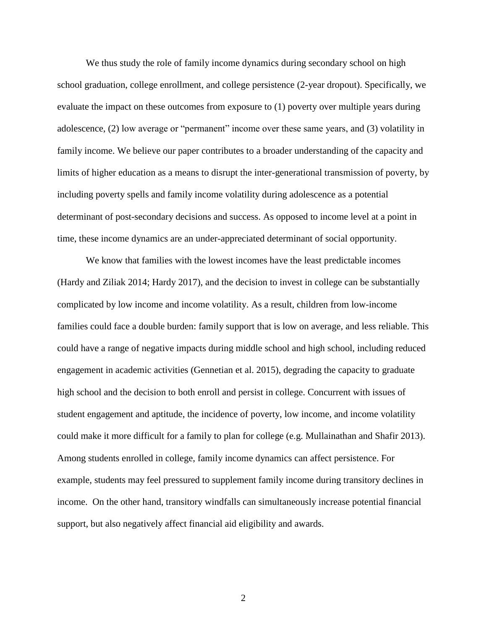We thus study the role of family income dynamics during secondary school on high school graduation, college enrollment, and college persistence (2-year dropout). Specifically, we evaluate the impact on these outcomes from exposure to (1) poverty over multiple years during adolescence, (2) low average or "permanent" income over these same years, and (3) volatility in family income. We believe our paper contributes to a broader understanding of the capacity and limits of higher education as a means to disrupt the inter-generational transmission of poverty, by including poverty spells and family income volatility during adolescence as a potential determinant of post-secondary decisions and success. As opposed to income level at a point in time, these income dynamics are an under-appreciated determinant of social opportunity.

We know that families with the lowest incomes have the least predictable incomes (Hardy and Ziliak 2014; Hardy 2017), and the decision to invest in college can be substantially complicated by low income and income volatility. As a result, children from low-income families could face a double burden: family support that is low on average, and less reliable. This could have a range of negative impacts during middle school and high school, including reduced engagement in academic activities (Gennetian et al. 2015), degrading the capacity to graduate high school and the decision to both enroll and persist in college. Concurrent with issues of student engagement and aptitude, the incidence of poverty, low income, and income volatility could make it more difficult for a family to plan for college (e.g. Mullainathan and Shafir 2013). Among students enrolled in college, family income dynamics can affect persistence. For example, students may feel pressured to supplement family income during transitory declines in income. On the other hand, transitory windfalls can simultaneously increase potential financial support, but also negatively affect financial aid eligibility and awards.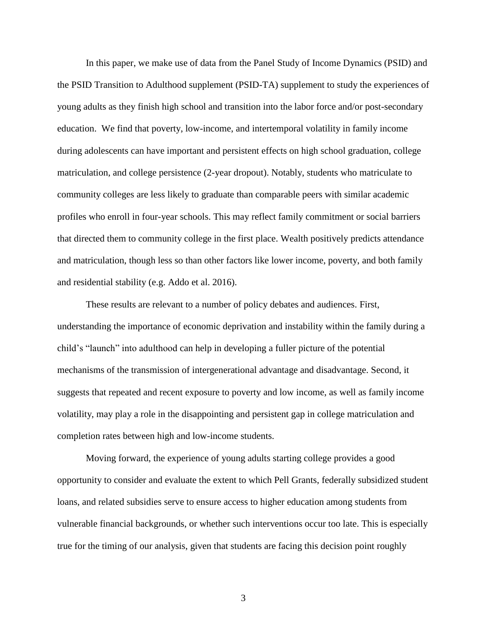In this paper, we make use of data from the Panel Study of Income Dynamics (PSID) and the PSID Transition to Adulthood supplement (PSID-TA) supplement to study the experiences of young adults as they finish high school and transition into the labor force and/or post-secondary education. We find that poverty, low-income, and intertemporal volatility in family income during adolescents can have important and persistent effects on high school graduation, college matriculation, and college persistence (2-year dropout). Notably, students who matriculate to community colleges are less likely to graduate than comparable peers with similar academic profiles who enroll in four-year schools. This may reflect family commitment or social barriers that directed them to community college in the first place. Wealth positively predicts attendance and matriculation, though less so than other factors like lower income, poverty, and both family and residential stability (e.g. Addo et al. 2016).

These results are relevant to a number of policy debates and audiences. First, understanding the importance of economic deprivation and instability within the family during a child's "launch" into adulthood can help in developing a fuller picture of the potential mechanisms of the transmission of intergenerational advantage and disadvantage. Second, it suggests that repeated and recent exposure to poverty and low income, as well as family income volatility, may play a role in the disappointing and persistent gap in college matriculation and completion rates between high and low-income students.

Moving forward, the experience of young adults starting college provides a good opportunity to consider and evaluate the extent to which Pell Grants, federally subsidized student loans, and related subsidies serve to ensure access to higher education among students from vulnerable financial backgrounds, or whether such interventions occur too late. This is especially true for the timing of our analysis, given that students are facing this decision point roughly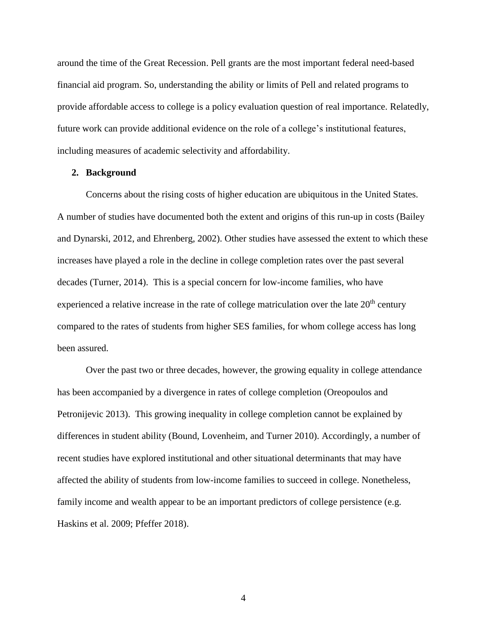around the time of the Great Recession. Pell grants are the most important federal need-based financial aid program. So, understanding the ability or limits of Pell and related programs to provide affordable access to college is a policy evaluation question of real importance. Relatedly, future work can provide additional evidence on the role of a college's institutional features, including measures of academic selectivity and affordability.

### **2. Background**

Concerns about the rising costs of higher education are ubiquitous in the United States. A number of studies have documented both the extent and origins of this run-up in costs (Bailey and Dynarski, 2012, and Ehrenberg, 2002). Other studies have assessed the extent to which these increases have played a role in the decline in college completion rates over the past several decades (Turner, 2014). This is a special concern for low-income families, who have experienced a relative increase in the rate of college matriculation over the late 20<sup>th</sup> century compared to the rates of students from higher SES families, for whom college access has long been assured.

Over the past two or three decades, however, the growing equality in college attendance has been accompanied by a divergence in rates of college completion (Oreopoulos and Petronijevic 2013). This growing inequality in college completion cannot be explained by differences in student ability (Bound, Lovenheim, and Turner 2010). Accordingly, a number of recent studies have explored institutional and other situational determinants that may have affected the ability of students from low-income families to succeed in college. Nonetheless, family income and wealth appear to be an important predictors of college persistence (e.g. Haskins et al. 2009; Pfeffer 2018).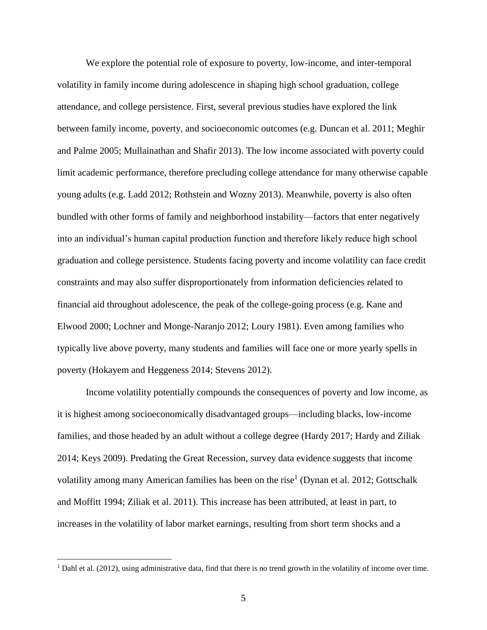We explore the potential role of exposure to poverty, low-income, and inter-temporal volatility in family income during adolescence in shaping high school graduation, college attendance, and college persistence. First, several previous studies have explored the link between family income, poverty, and socioeconomic outcomes (e.g. Duncan et al. 2011; Meghir and Palme 2005; Mullainathan and Shafir 2013). The low income associated with poverty could limit academic performance, therefore precluding college attendance for many otherwise capable young adults (e.g. Ladd 2012; Rothstein and Wozny 2013). Meanwhile, poverty is also often bundled with other forms of family and neighborhood instability—factors that enter negatively into an individual's human capital production function and therefore likely reduce high school graduation and college persistence. Students facing poverty and income volatility can face credit constraints and may also suffer disproportionately from information deficiencies related to financial aid throughout adolescence, the peak of the college-going process (e.g. Kane and Elwood 2000; Lochner and Monge-Naranjo 2012; Loury 1981). Even among families who typically live above poverty, many students and families will face one or more yearly spells in poverty (Hokayem and Heggeness 2014; Stevens 2012).

Income volatility potentially compounds the consequences of poverty and low income, as it is highest among socioeconomically disadvantaged groups—including blacks, low-income families, and those headed by an adult without a college degree (Hardy 2017; Hardy and Ziliak 2014; Keys 2009). Predating the Great Recession, survey data evidence suggests that income volatility among many American families has been on the rise<sup>1</sup> (Dynan et al. 2012; Gottschalk and Moffitt 1994; Ziliak et al. 2011). This increase has been attributed, at least in part, to increases in the volatility of labor market earnings, resulting from short term shocks and a

 $\overline{a}$ 

<sup>&</sup>lt;sup>1</sup> Dahl et al. (2012), using administrative data, find that there is no trend growth in the volatility of income over time.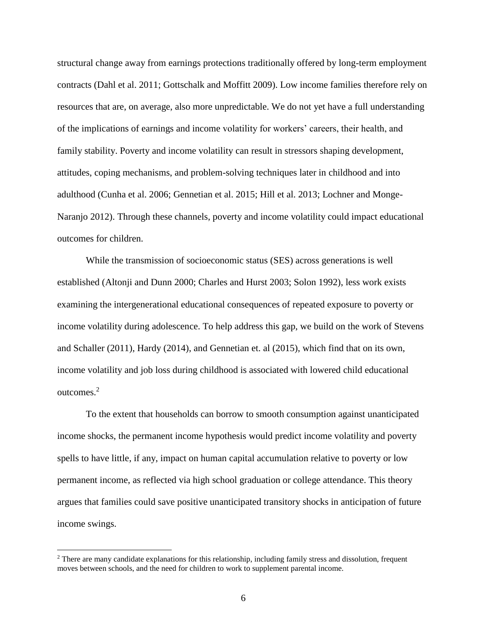structural change away from earnings protections traditionally offered by long-term employment contracts (Dahl et al. 2011; Gottschalk and Moffitt 2009). Low income families therefore rely on resources that are, on average, also more unpredictable. We do not yet have a full understanding of the implications of earnings and income volatility for workers' careers, their health, and family stability. Poverty and income volatility can result in stressors shaping development, attitudes, coping mechanisms, and problem-solving techniques later in childhood and into adulthood (Cunha et al. 2006; Gennetian et al. 2015; Hill et al. 2013; Lochner and Monge-Naranjo 2012). Through these channels, poverty and income volatility could impact educational outcomes for children.

While the transmission of socioeconomic status (SES) across generations is well established (Altonji and Dunn 2000; Charles and Hurst 2003; Solon 1992), less work exists examining the intergenerational educational consequences of repeated exposure to poverty or income volatility during adolescence. To help address this gap, we build on the work of Stevens and Schaller (2011), Hardy (2014), and Gennetian et. al (2015), which find that on its own, income volatility and job loss during childhood is associated with lowered child educational outcomes. 2

To the extent that households can borrow to smooth consumption against unanticipated income shocks, the permanent income hypothesis would predict income volatility and poverty spells to have little, if any, impact on human capital accumulation relative to poverty or low permanent income, as reflected via high school graduation or college attendance. This theory argues that families could save positive unanticipated transitory shocks in anticipation of future income swings.

 $\overline{a}$ 

<sup>&</sup>lt;sup>2</sup> There are many candidate explanations for this relationship, including family stress and dissolution, frequent moves between schools, and the need for children to work to supplement parental income.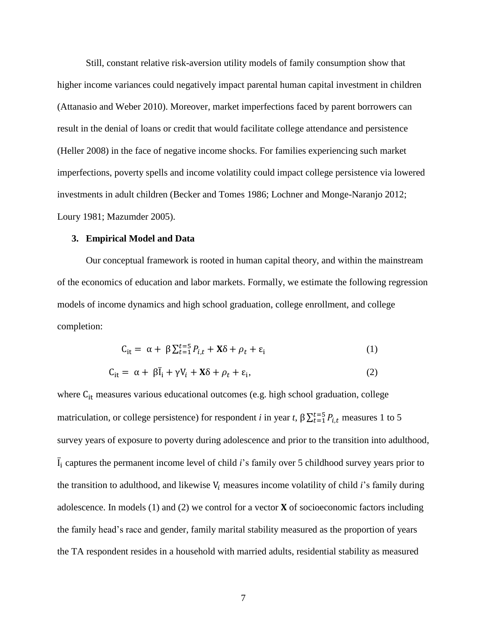Still, constant relative risk-aversion utility models of family consumption show that higher income variances could negatively impact parental human capital investment in children (Attanasio and Weber 2010). Moreover, market imperfections faced by parent borrowers can result in the denial of loans or credit that would facilitate college attendance and persistence (Heller 2008) in the face of negative income shocks. For families experiencing such market imperfections, poverty spells and income volatility could impact college persistence via lowered investments in adult children (Becker and Tomes 1986; Lochner and Monge-Naranjo 2012; Loury 1981; Mazumder 2005).

# **3. Empirical Model and Data**

Our conceptual framework is rooted in human capital theory, and within the mainstream of the economics of education and labor markets. Formally, we estimate the following regression models of income dynamics and high school graduation, college enrollment, and college completion:

$$
C_{it} = \alpha + \beta \sum_{t=1}^{t=5} P_{i,t} + \mathbf{X}\delta + \rho_t + \varepsilon_i
$$
 (1)

$$
C_{it} = \alpha + \beta \bar{I}_i + \gamma V_i + X\delta + \rho_t + \varepsilon_i,
$$
\n(2)

where C<sub>it</sub> measures various educational outcomes (e.g. high school graduation, college matriculation, or college persistence) for respondent *i* in year *t*,  $\beta \sum_{t=1}^{t=5} P_{i,t}$  measures 1 to 5 survey years of exposure to poverty during adolescence and prior to the transition into adulthood, I ̅ <sup>i</sup> captures the permanent income level of child *i*'s family over 5 childhood survey years prior to the transition to adulthood, and likewise  $V_i$  measures income volatility of child *i*'s family during adolescence. In models (1) and (2) we control for a vector  $X$  of socioeconomic factors including the family head's race and gender, family marital stability measured as the proportion of years the TA respondent resides in a household with married adults, residential stability as measured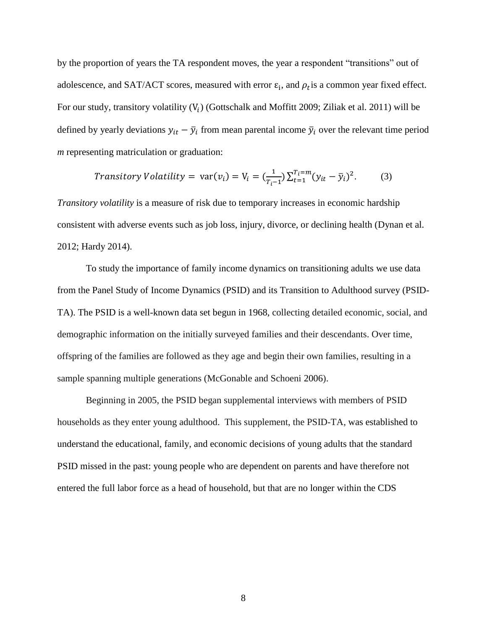by the proportion of years the TA respondent moves, the year a respondent "transitions" out of adolescence, and SAT/ACT scores, measured with error  $\varepsilon_i$ , and  $\rho_t$  is a common year fixed effect. For our study, transitory volatility  $(V_i)$  (Gottschalk and Moffitt 2009; Ziliak et al. 2011) will be defined by yearly deviations  $y_{it} - \bar{y}_i$  from mean parental income  $\bar{y}_i$  over the relevant time period *m* representing matriculation or graduation:

$$
Transitory Volatility = var(v_i) = V_i = \left(\frac{1}{T_i - 1}\right) \sum_{t=1}^{T_i = m} (y_{it} - \bar{y}_i)^2. \tag{3}
$$

*Transitory volatility* is a measure of risk due to temporary increases in economic hardship consistent with adverse events such as job loss, injury, divorce, or declining health (Dynan et al. 2012; Hardy 2014).

To study the importance of family income dynamics on transitioning adults we use data from the Panel Study of Income Dynamics (PSID) and its Transition to Adulthood survey (PSID-TA). The PSID is a well-known data set begun in 1968, collecting detailed economic, social, and demographic information on the initially surveyed families and their descendants. Over time, offspring of the families are followed as they age and begin their own families, resulting in a sample spanning multiple generations (McGonable and Schoeni 2006).

Beginning in 2005, the PSID began supplemental interviews with members of PSID households as they enter young adulthood. This supplement, the PSID-TA, was established to understand the educational, family, and economic decisions of young adults that the standard PSID missed in the past: young people who are dependent on parents and have therefore not entered the full labor force as a head of household, but that are no longer within the CDS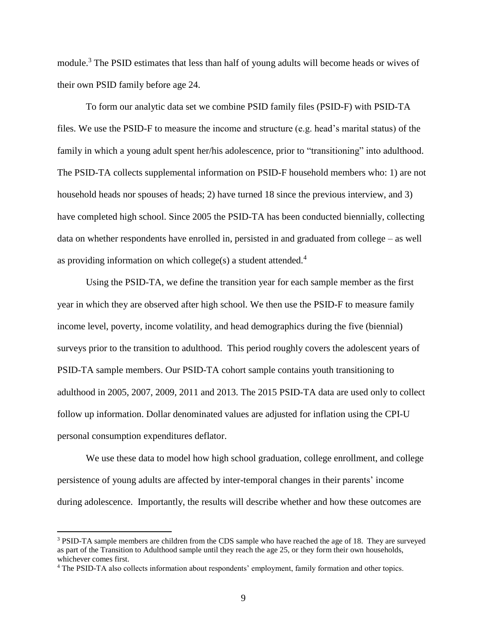module.<sup>3</sup> The PSID estimates that less than half of young adults will become heads or wives of their own PSID family before age 24.

To form our analytic data set we combine PSID family files (PSID-F) with PSID-TA files. We use the PSID-F to measure the income and structure (e.g. head's marital status) of the family in which a young adult spent her/his adolescence, prior to "transitioning" into adulthood. The PSID-TA collects supplemental information on PSID-F household members who: 1) are not household heads nor spouses of heads; 2) have turned 18 since the previous interview, and 3) have completed high school. Since 2005 the PSID-TA has been conducted biennially, collecting data on whether respondents have enrolled in, persisted in and graduated from college – as well as providing information on which college(s) a student attended.<sup>4</sup>

Using the PSID-TA, we define the transition year for each sample member as the first year in which they are observed after high school. We then use the PSID-F to measure family income level, poverty, income volatility, and head demographics during the five (biennial) surveys prior to the transition to adulthood. This period roughly covers the adolescent years of PSID-TA sample members. Our PSID-TA cohort sample contains youth transitioning to adulthood in 2005, 2007, 2009, 2011 and 2013. The 2015 PSID-TA data are used only to collect follow up information. Dollar denominated values are adjusted for inflation using the CPI-U personal consumption expenditures deflator.

We use these data to model how high school graduation, college enrollment, and college persistence of young adults are affected by inter-temporal changes in their parents' income during adolescence. Importantly, the results will describe whether and how these outcomes are

 $\overline{a}$ 

<sup>3</sup> PSID-TA sample members are children from the CDS sample who have reached the age of 18. They are surveyed as part of the Transition to Adulthood sample until they reach the age 25, or they form their own households, whichever comes first.

<sup>4</sup> The PSID-TA also collects information about respondents' employment, family formation and other topics.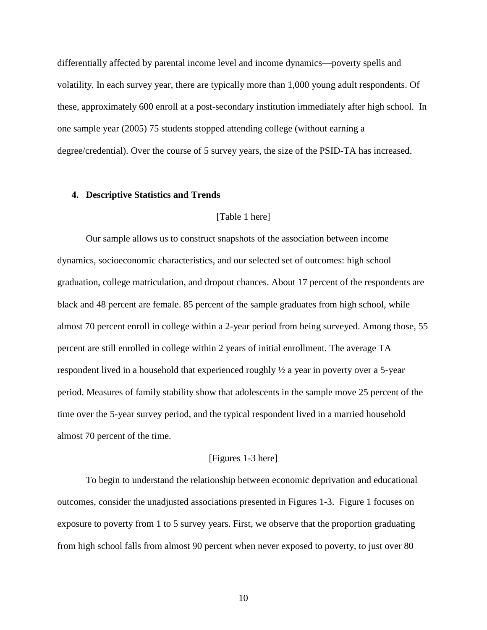differentially affected by parental income level and income dynamics—poverty spells and volatility. In each survey year, there are typically more than 1,000 young adult respondents. Of these, approximately 600 enroll at a post-secondary institution immediately after high school. In one sample year (2005) 75 students stopped attending college (without earning a degree/credential). Over the course of 5 survey years, the size of the PSID-TA has increased.

#### **4. Descriptive Statistics and Trends**

#### [Table 1 here]

Our sample allows us to construct snapshots of the association between income dynamics, socioeconomic characteristics, and our selected set of outcomes: high school graduation, college matriculation, and dropout chances. About 17 percent of the respondents are black and 48 percent are female. 85 percent of the sample graduates from high school, while almost 70 percent enroll in college within a 2-year period from being surveyed. Among those, 55 percent are still enrolled in college within 2 years of initial enrollment. The average TA respondent lived in a household that experienced roughly ½ a year in poverty over a 5-year period. Measures of family stability show that adolescents in the sample move 25 percent of the time over the 5-year survey period, and the typical respondent lived in a married household almost 70 percent of the time.

### [Figures 1-3 here]

To begin to understand the relationship between economic deprivation and educational outcomes, consider the unadjusted associations presented in Figures 1-3. Figure 1 focuses on exposure to poverty from 1 to 5 survey years. First, we observe that the proportion graduating from high school falls from almost 90 percent when never exposed to poverty, to just over 80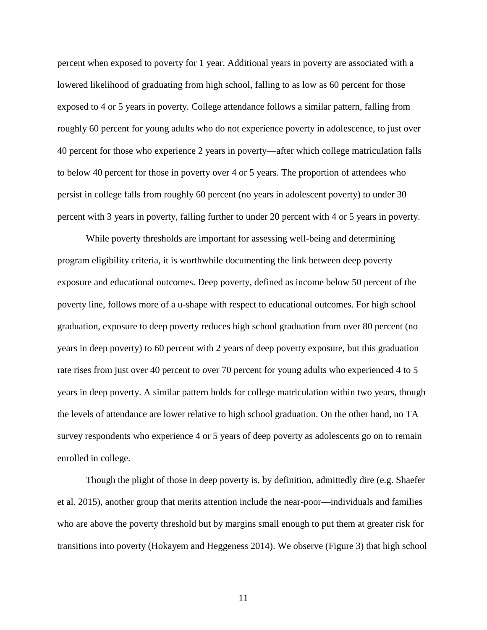percent when exposed to poverty for 1 year. Additional years in poverty are associated with a lowered likelihood of graduating from high school, falling to as low as 60 percent for those exposed to 4 or 5 years in poverty. College attendance follows a similar pattern, falling from roughly 60 percent for young adults who do not experience poverty in adolescence, to just over 40 percent for those who experience 2 years in poverty—after which college matriculation falls to below 40 percent for those in poverty over 4 or 5 years. The proportion of attendees who persist in college falls from roughly 60 percent (no years in adolescent poverty) to under 30 percent with 3 years in poverty, falling further to under 20 percent with 4 or 5 years in poverty.

While poverty thresholds are important for assessing well-being and determining program eligibility criteria, it is worthwhile documenting the link between deep poverty exposure and educational outcomes. Deep poverty, defined as income below 50 percent of the poverty line, follows more of a u-shape with respect to educational outcomes. For high school graduation, exposure to deep poverty reduces high school graduation from over 80 percent (no years in deep poverty) to 60 percent with 2 years of deep poverty exposure, but this graduation rate rises from just over 40 percent to over 70 percent for young adults who experienced 4 to 5 years in deep poverty. A similar pattern holds for college matriculation within two years, though the levels of attendance are lower relative to high school graduation. On the other hand, no TA survey respondents who experience 4 or 5 years of deep poverty as adolescents go on to remain enrolled in college.

Though the plight of those in deep poverty is, by definition, admittedly dire (e.g. Shaefer et al. 2015), another group that merits attention include the near-poor—individuals and families who are above the poverty threshold but by margins small enough to put them at greater risk for transitions into poverty (Hokayem and Heggeness 2014). We observe (Figure 3) that high school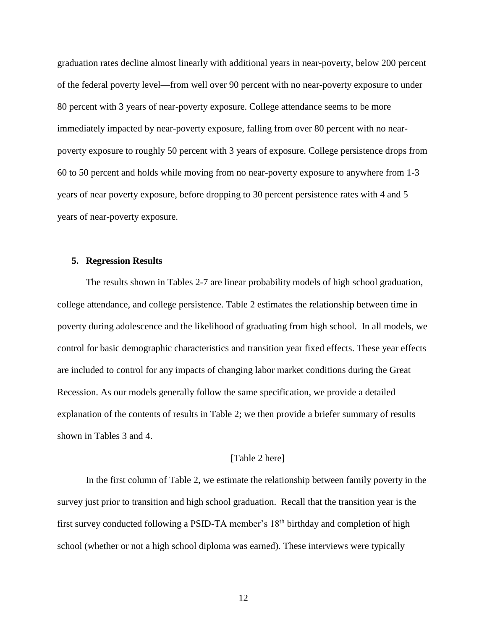graduation rates decline almost linearly with additional years in near-poverty, below 200 percent of the federal poverty level—from well over 90 percent with no near-poverty exposure to under 80 percent with 3 years of near-poverty exposure. College attendance seems to be more immediately impacted by near-poverty exposure, falling from over 80 percent with no nearpoverty exposure to roughly 50 percent with 3 years of exposure. College persistence drops from 60 to 50 percent and holds while moving from no near-poverty exposure to anywhere from 1-3 years of near poverty exposure, before dropping to 30 percent persistence rates with 4 and 5 years of near-poverty exposure.

# **5. Regression Results**

The results shown in Tables 2-7 are linear probability models of high school graduation, college attendance, and college persistence. Table 2 estimates the relationship between time in poverty during adolescence and the likelihood of graduating from high school. In all models, we control for basic demographic characteristics and transition year fixed effects. These year effects are included to control for any impacts of changing labor market conditions during the Great Recession. As our models generally follow the same specification, we provide a detailed explanation of the contents of results in Table 2; we then provide a briefer summary of results shown in Tables 3 and 4.

### [Table 2 here]

In the first column of Table 2, we estimate the relationship between family poverty in the survey just prior to transition and high school graduation. Recall that the transition year is the first survey conducted following a PSID-TA member's 18<sup>th</sup> birthday and completion of high school (whether or not a high school diploma was earned). These interviews were typically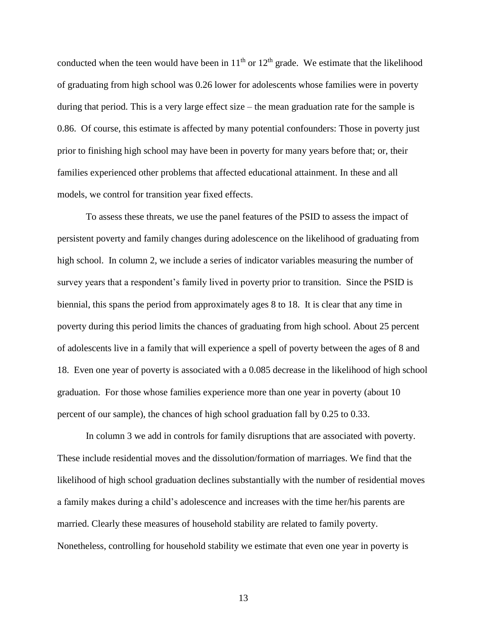conducted when the teen would have been in  $11<sup>th</sup>$  or  $12<sup>th</sup>$  grade. We estimate that the likelihood of graduating from high school was 0.26 lower for adolescents whose families were in poverty during that period. This is a very large effect size – the mean graduation rate for the sample is 0.86. Of course, this estimate is affected by many potential confounders: Those in poverty just prior to finishing high school may have been in poverty for many years before that; or, their families experienced other problems that affected educational attainment. In these and all models, we control for transition year fixed effects.

To assess these threats, we use the panel features of the PSID to assess the impact of persistent poverty and family changes during adolescence on the likelihood of graduating from high school. In column 2, we include a series of indicator variables measuring the number of survey years that a respondent's family lived in poverty prior to transition. Since the PSID is biennial, this spans the period from approximately ages 8 to 18. It is clear that any time in poverty during this period limits the chances of graduating from high school. About 25 percent of adolescents live in a family that will experience a spell of poverty between the ages of 8 and 18. Even one year of poverty is associated with a 0.085 decrease in the likelihood of high school graduation. For those whose families experience more than one year in poverty (about 10 percent of our sample), the chances of high school graduation fall by 0.25 to 0.33.

In column 3 we add in controls for family disruptions that are associated with poverty. These include residential moves and the dissolution/formation of marriages. We find that the likelihood of high school graduation declines substantially with the number of residential moves a family makes during a child's adolescence and increases with the time her/his parents are married. Clearly these measures of household stability are related to family poverty. Nonetheless, controlling for household stability we estimate that even one year in poverty is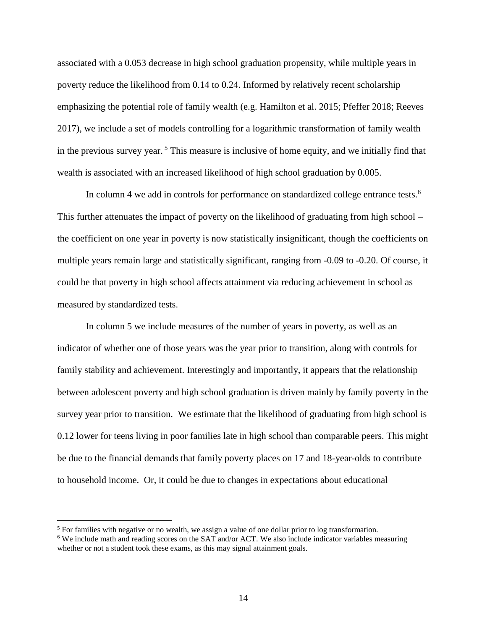associated with a 0.053 decrease in high school graduation propensity, while multiple years in poverty reduce the likelihood from 0.14 to 0.24. Informed by relatively recent scholarship emphasizing the potential role of family wealth (e.g. Hamilton et al. 2015; Pfeffer 2018; Reeves 2017), we include a set of models controlling for a logarithmic transformation of family wealth in the previous survey year.  $5$  This measure is inclusive of home equity, and we initially find that wealth is associated with an increased likelihood of high school graduation by 0.005.

In column 4 we add in controls for performance on standardized college entrance tests.<sup>6</sup> This further attenuates the impact of poverty on the likelihood of graduating from high school – the coefficient on one year in poverty is now statistically insignificant, though the coefficients on multiple years remain large and statistically significant, ranging from -0.09 to -0.20. Of course, it could be that poverty in high school affects attainment via reducing achievement in school as measured by standardized tests.

In column 5 we include measures of the number of years in poverty, as well as an indicator of whether one of those years was the year prior to transition, along with controls for family stability and achievement. Interestingly and importantly, it appears that the relationship between adolescent poverty and high school graduation is driven mainly by family poverty in the survey year prior to transition. We estimate that the likelihood of graduating from high school is 0.12 lower for teens living in poor families late in high school than comparable peers. This might be due to the financial demands that family poverty places on 17 and 18-year-olds to contribute to household income. Or, it could be due to changes in expectations about educational

 $\overline{a}$ 

<sup>&</sup>lt;sup>5</sup> For families with negative or no wealth, we assign a value of one dollar prior to log transformation.

<sup>6</sup> We include math and reading scores on the SAT and/or ACT. We also include indicator variables measuring whether or not a student took these exams, as this may signal attainment goals.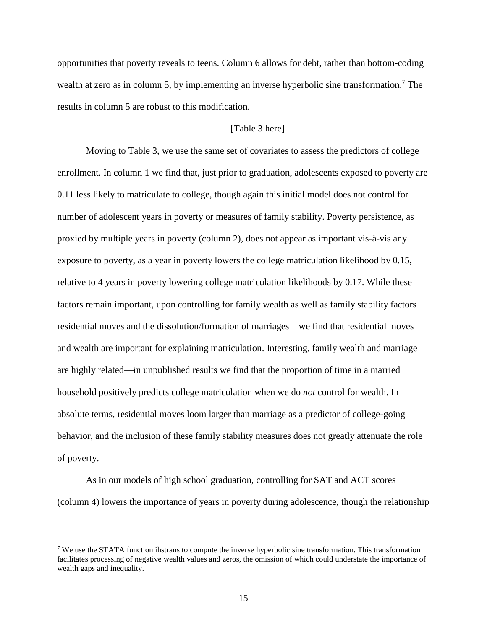opportunities that poverty reveals to teens. Column 6 allows for debt, rather than bottom-coding wealth at zero as in column 5, by implementing an inverse hyperbolic sine transformation.<sup>7</sup> The results in column 5 are robust to this modification.

# [Table 3 here]

Moving to Table 3, we use the same set of covariates to assess the predictors of college enrollment. In column 1 we find that, just prior to graduation, adolescents exposed to poverty are 0.11 less likely to matriculate to college, though again this initial model does not control for number of adolescent years in poverty or measures of family stability. Poverty persistence, as proxied by multiple years in poverty (column 2), does not appear as important vis-à-vis any exposure to poverty, as a year in poverty lowers the college matriculation likelihood by 0.15, relative to 4 years in poverty lowering college matriculation likelihoods by 0.17. While these factors remain important, upon controlling for family wealth as well as family stability factors residential moves and the dissolution/formation of marriages—we find that residential moves and wealth are important for explaining matriculation. Interesting, family wealth and marriage are highly related—in unpublished results we find that the proportion of time in a married household positively predicts college matriculation when we do *not* control for wealth. In absolute terms, residential moves loom larger than marriage as a predictor of college-going behavior, and the inclusion of these family stability measures does not greatly attenuate the role of poverty.

As in our models of high school graduation, controlling for SAT and ACT scores (column 4) lowers the importance of years in poverty during adolescence, though the relationship

 $\overline{a}$ 

<sup>&</sup>lt;sup>7</sup> We use the STATA function ihstrans to compute the inverse hyperbolic sine transformation. This transformation facilitates processing of negative wealth values and zeros, the omission of which could understate the importance of wealth gaps and inequality.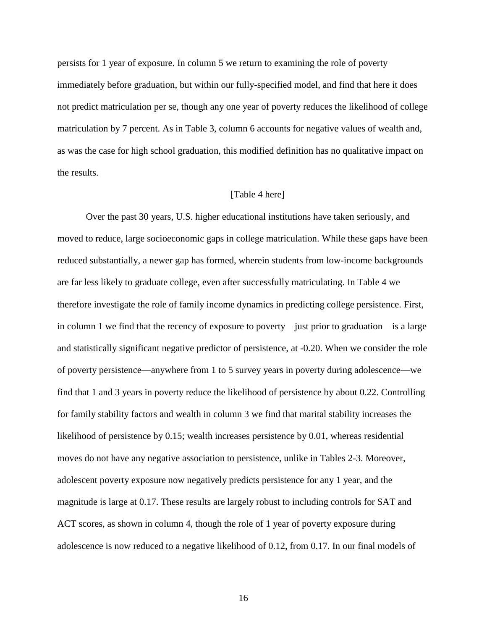persists for 1 year of exposure. In column 5 we return to examining the role of poverty immediately before graduation, but within our fully-specified model, and find that here it does not predict matriculation per se, though any one year of poverty reduces the likelihood of college matriculation by 7 percent. As in Table 3, column 6 accounts for negative values of wealth and, as was the case for high school graduation, this modified definition has no qualitative impact on the results.

# [Table 4 here]

Over the past 30 years, U.S. higher educational institutions have taken seriously, and moved to reduce, large socioeconomic gaps in college matriculation. While these gaps have been reduced substantially, a newer gap has formed, wherein students from low-income backgrounds are far less likely to graduate college, even after successfully matriculating. In Table 4 we therefore investigate the role of family income dynamics in predicting college persistence. First, in column 1 we find that the recency of exposure to poverty—just prior to graduation—is a large and statistically significant negative predictor of persistence, at -0.20. When we consider the role of poverty persistence—anywhere from 1 to 5 survey years in poverty during adolescence—we find that 1 and 3 years in poverty reduce the likelihood of persistence by about 0.22. Controlling for family stability factors and wealth in column 3 we find that marital stability increases the likelihood of persistence by 0.15; wealth increases persistence by 0.01, whereas residential moves do not have any negative association to persistence, unlike in Tables 2-3. Moreover, adolescent poverty exposure now negatively predicts persistence for any 1 year, and the magnitude is large at 0.17. These results are largely robust to including controls for SAT and ACT scores, as shown in column 4, though the role of 1 year of poverty exposure during adolescence is now reduced to a negative likelihood of 0.12, from 0.17. In our final models of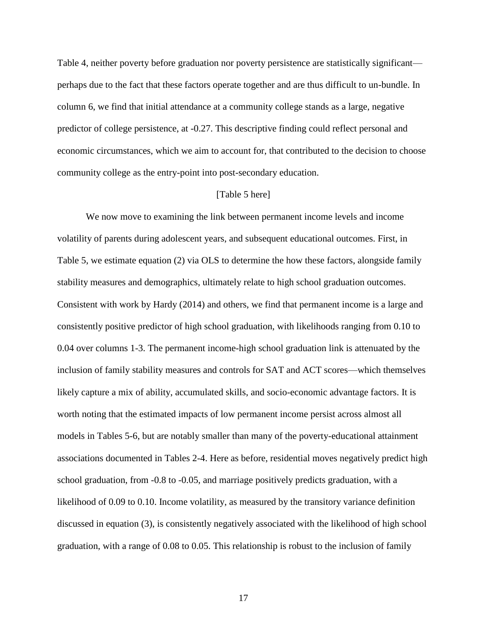Table 4, neither poverty before graduation nor poverty persistence are statistically significant perhaps due to the fact that these factors operate together and are thus difficult to un-bundle. In column 6, we find that initial attendance at a community college stands as a large, negative predictor of college persistence, at -0.27. This descriptive finding could reflect personal and economic circumstances, which we aim to account for, that contributed to the decision to choose community college as the entry-point into post-secondary education.

# [Table 5 here]

We now move to examining the link between permanent income levels and income volatility of parents during adolescent years, and subsequent educational outcomes. First, in Table 5, we estimate equation (2) via OLS to determine the how these factors, alongside family stability measures and demographics, ultimately relate to high school graduation outcomes. Consistent with work by Hardy (2014) and others, we find that permanent income is a large and consistently positive predictor of high school graduation, with likelihoods ranging from 0.10 to 0.04 over columns 1-3. The permanent income-high school graduation link is attenuated by the inclusion of family stability measures and controls for SAT and ACT scores—which themselves likely capture a mix of ability, accumulated skills, and socio-economic advantage factors. It is worth noting that the estimated impacts of low permanent income persist across almost all models in Tables 5-6, but are notably smaller than many of the poverty-educational attainment associations documented in Tables 2-4. Here as before, residential moves negatively predict high school graduation, from -0.8 to -0.05, and marriage positively predicts graduation, with a likelihood of 0.09 to 0.10. Income volatility, as measured by the transitory variance definition discussed in equation (3), is consistently negatively associated with the likelihood of high school graduation, with a range of 0.08 to 0.05. This relationship is robust to the inclusion of family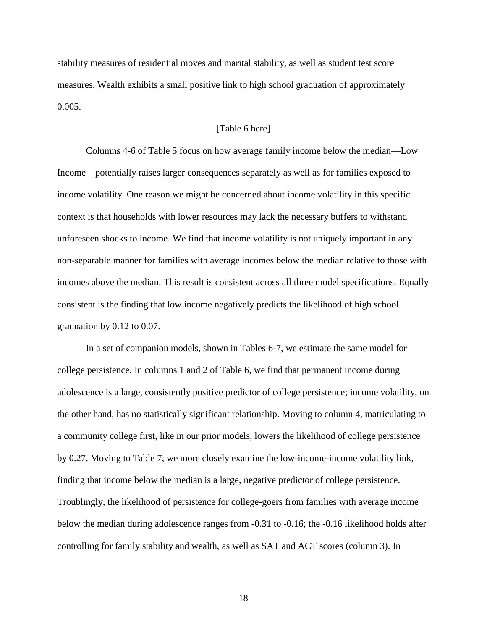stability measures of residential moves and marital stability, as well as student test score measures. Wealth exhibits a small positive link to high school graduation of approximately 0.005.

# [Table 6 here]

Columns 4-6 of Table 5 focus on how average family income below the median—Low Income—potentially raises larger consequences separately as well as for families exposed to income volatility. One reason we might be concerned about income volatility in this specific context is that households with lower resources may lack the necessary buffers to withstand unforeseen shocks to income. We find that income volatility is not uniquely important in any non-separable manner for families with average incomes below the median relative to those with incomes above the median. This result is consistent across all three model specifications. Equally consistent is the finding that low income negatively predicts the likelihood of high school graduation by 0.12 to 0.07.

In a set of companion models, shown in Tables 6-7, we estimate the same model for college persistence. In columns 1 and 2 of Table 6, we find that permanent income during adolescence is a large, consistently positive predictor of college persistence; income volatility, on the other hand, has no statistically significant relationship. Moving to column 4, matriculating to a community college first, like in our prior models, lowers the likelihood of college persistence by 0.27. Moving to Table 7, we more closely examine the low-income-income volatility link, finding that income below the median is a large, negative predictor of college persistence. Troublingly, the likelihood of persistence for college-goers from families with average income below the median during adolescence ranges from -0.31 to -0.16; the -0.16 likelihood holds after controlling for family stability and wealth, as well as SAT and ACT scores (column 3). In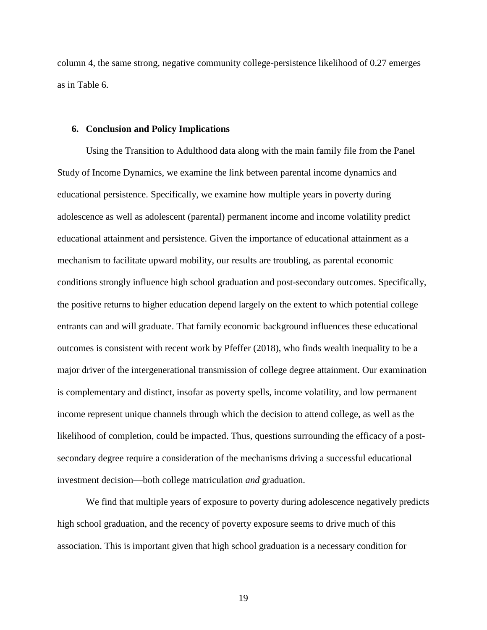column 4, the same strong, negative community college-persistence likelihood of 0.27 emerges as in Table 6.

### **6. Conclusion and Policy Implications**

Using the Transition to Adulthood data along with the main family file from the Panel Study of Income Dynamics, we examine the link between parental income dynamics and educational persistence. Specifically, we examine how multiple years in poverty during adolescence as well as adolescent (parental) permanent income and income volatility predict educational attainment and persistence. Given the importance of educational attainment as a mechanism to facilitate upward mobility, our results are troubling, as parental economic conditions strongly influence high school graduation and post-secondary outcomes. Specifically, the positive returns to higher education depend largely on the extent to which potential college entrants can and will graduate. That family economic background influences these educational outcomes is consistent with recent work by Pfeffer (2018), who finds wealth inequality to be a major driver of the intergenerational transmission of college degree attainment. Our examination is complementary and distinct, insofar as poverty spells, income volatility, and low permanent income represent unique channels through which the decision to attend college, as well as the likelihood of completion, could be impacted. Thus, questions surrounding the efficacy of a postsecondary degree require a consideration of the mechanisms driving a successful educational investment decision—both college matriculation *and* graduation.

We find that multiple years of exposure to poverty during adolescence negatively predicts high school graduation, and the recency of poverty exposure seems to drive much of this association. This is important given that high school graduation is a necessary condition for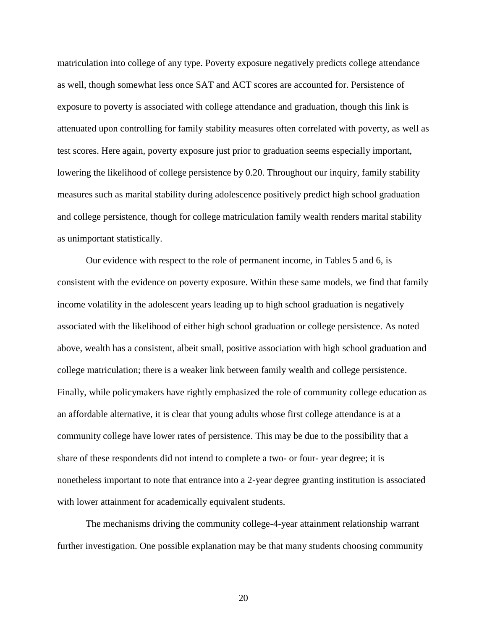matriculation into college of any type. Poverty exposure negatively predicts college attendance as well, though somewhat less once SAT and ACT scores are accounted for. Persistence of exposure to poverty is associated with college attendance and graduation, though this link is attenuated upon controlling for family stability measures often correlated with poverty, as well as test scores. Here again, poverty exposure just prior to graduation seems especially important, lowering the likelihood of college persistence by 0.20. Throughout our inquiry, family stability measures such as marital stability during adolescence positively predict high school graduation and college persistence, though for college matriculation family wealth renders marital stability as unimportant statistically.

Our evidence with respect to the role of permanent income, in Tables 5 and 6, is consistent with the evidence on poverty exposure. Within these same models, we find that family income volatility in the adolescent years leading up to high school graduation is negatively associated with the likelihood of either high school graduation or college persistence. As noted above, wealth has a consistent, albeit small, positive association with high school graduation and college matriculation; there is a weaker link between family wealth and college persistence. Finally, while policymakers have rightly emphasized the role of community college education as an affordable alternative, it is clear that young adults whose first college attendance is at a community college have lower rates of persistence. This may be due to the possibility that a share of these respondents did not intend to complete a two- or four- year degree; it is nonetheless important to note that entrance into a 2-year degree granting institution is associated with lower attainment for academically equivalent students.

The mechanisms driving the community college-4-year attainment relationship warrant further investigation. One possible explanation may be that many students choosing community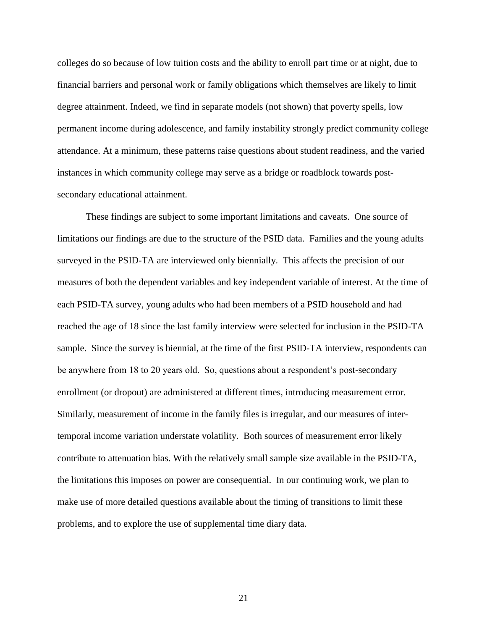colleges do so because of low tuition costs and the ability to enroll part time or at night, due to financial barriers and personal work or family obligations which themselves are likely to limit degree attainment. Indeed, we find in separate models (not shown) that poverty spells, low permanent income during adolescence, and family instability strongly predict community college attendance. At a minimum, these patterns raise questions about student readiness, and the varied instances in which community college may serve as a bridge or roadblock towards postsecondary educational attainment.

These findings are subject to some important limitations and caveats. One source of limitations our findings are due to the structure of the PSID data. Families and the young adults surveyed in the PSID-TA are interviewed only biennially. This affects the precision of our measures of both the dependent variables and key independent variable of interest. At the time of each PSID-TA survey, young adults who had been members of a PSID household and had reached the age of 18 since the last family interview were selected for inclusion in the PSID-TA sample. Since the survey is biennial, at the time of the first PSID-TA interview, respondents can be anywhere from 18 to 20 years old. So, questions about a respondent's post-secondary enrollment (or dropout) are administered at different times, introducing measurement error. Similarly, measurement of income in the family files is irregular, and our measures of intertemporal income variation understate volatility. Both sources of measurement error likely contribute to attenuation bias. With the relatively small sample size available in the PSID-TA, the limitations this imposes on power are consequential. In our continuing work, we plan to make use of more detailed questions available about the timing of transitions to limit these problems, and to explore the use of supplemental time diary data.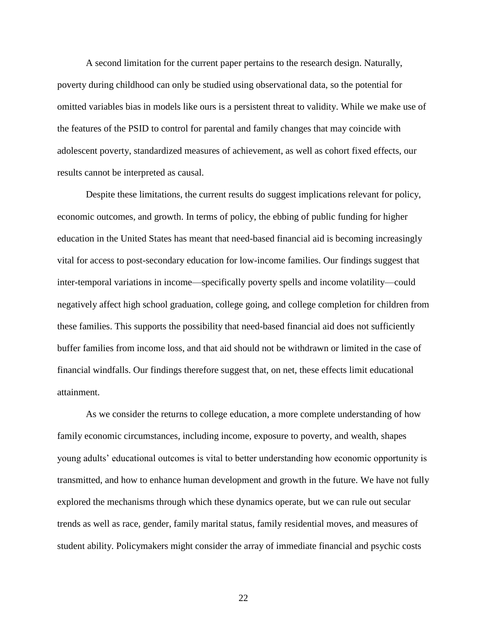A second limitation for the current paper pertains to the research design. Naturally, poverty during childhood can only be studied using observational data, so the potential for omitted variables bias in models like ours is a persistent threat to validity. While we make use of the features of the PSID to control for parental and family changes that may coincide with adolescent poverty, standardized measures of achievement, as well as cohort fixed effects, our results cannot be interpreted as causal.

Despite these limitations, the current results do suggest implications relevant for policy, economic outcomes, and growth. In terms of policy, the ebbing of public funding for higher education in the United States has meant that need-based financial aid is becoming increasingly vital for access to post-secondary education for low-income families. Our findings suggest that inter-temporal variations in income—specifically poverty spells and income volatility—could negatively affect high school graduation, college going, and college completion for children from these families. This supports the possibility that need-based financial aid does not sufficiently buffer families from income loss, and that aid should not be withdrawn or limited in the case of financial windfalls. Our findings therefore suggest that, on net, these effects limit educational attainment.

As we consider the returns to college education, a more complete understanding of how family economic circumstances, including income, exposure to poverty, and wealth, shapes young adults' educational outcomes is vital to better understanding how economic opportunity is transmitted, and how to enhance human development and growth in the future. We have not fully explored the mechanisms through which these dynamics operate, but we can rule out secular trends as well as race, gender, family marital status, family residential moves, and measures of student ability. Policymakers might consider the array of immediate financial and psychic costs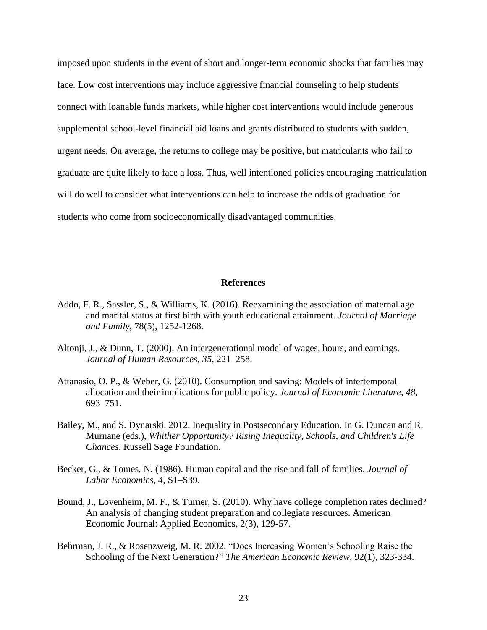imposed upon students in the event of short and longer-term economic shocks that families may face. Low cost interventions may include aggressive financial counseling to help students connect with loanable funds markets, while higher cost interventions would include generous supplemental school-level financial aid loans and grants distributed to students with sudden, urgent needs. On average, the returns to college may be positive, but matriculants who fail to graduate are quite likely to face a loss. Thus, well intentioned policies encouraging matriculation will do well to consider what interventions can help to increase the odds of graduation for students who come from socioeconomically disadvantaged communities.

#### **References**

- Addo, F. R., Sassler, S., & Williams, K. (2016). Reexamining the association of maternal age and marital status at first birth with youth educational attainment. *Journal of Marriage and Family*, 78(5), 1252-1268.
- Altonji, J., & Dunn, T. (2000). An intergenerational model of wages, hours, and earnings. *Journal of Human Resources, 35,* 221–258.
- Attanasio, O. P., & Weber, G. (2010). Consumption and saving: Models of intertemporal allocation and their implications for public policy. *Journal of Economic Literature, 48,* 693–751.
- Bailey, M., and S. Dynarski. 2012. Inequality in Postsecondary Education. In G. Duncan and R. Murnane (eds.), *Whither Opportunity? Rising Inequality, Schools, and Children's Life Chances*. Russell Sage Foundation.
- Becker, G., & Tomes, N. (1986). Human capital and the rise and fall of families. *Journal of Labor Economics, 4,* S1–S39.
- Bound, J., Lovenheim, M. F., & Turner, S. (2010). Why have college completion rates declined? An analysis of changing student preparation and collegiate resources. American Economic Journal: Applied Economics, 2(3), 129-57.
- Behrman, J. R., & Rosenzweig, M. R. 2002. "Does Increasing Women's Schooling Raise the Schooling of the Next Generation?" *The American Economic Review,* 92(1), 323-334.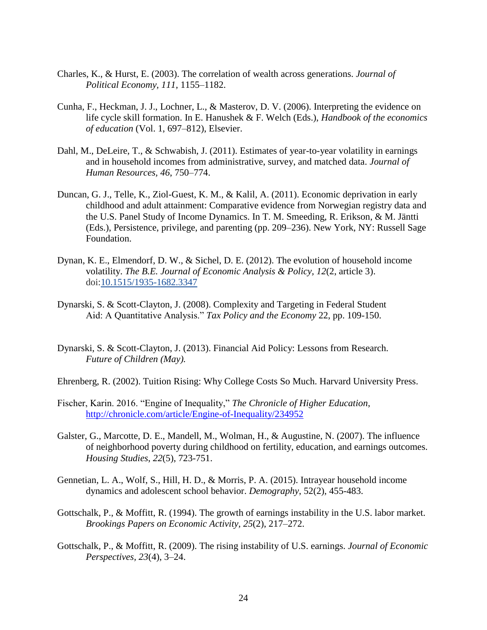- Charles, K., & Hurst, E. (2003). The correlation of wealth across generations. *Journal of Political Economy, 111,* 1155–1182.
- Cunha, F., Heckman, J. J., Lochner, L., & Masterov, D. V. (2006). Interpreting the evidence on life cycle skill formation. In E. Hanushek & F. Welch (Eds.), *Handbook of the economics of education* (Vol. 1, 697–812), Elsevier.
- Dahl, M., DeLeire, T., & Schwabish, J. (2011). Estimates of year-to-year volatility in earnings and in household incomes from administrative, survey, and matched data. *Journal of Human Resources, 46*, 750–774.
- Duncan, G. J., Telle, K., Ziol-Guest, K. M., & Kalil, A. (2011). Economic deprivation in early childhood and adult attainment: Comparative evidence from Norwegian registry data and the U.S. Panel Study of Income Dynamics. In T. M. Smeeding, R. Erikson, & M. Jäntti (Eds.), Persistence, privilege, and parenting (pp. 209–236). New York, NY: Russell Sage Foundation.
- Dynan, K. E., Elmendorf, D. W., & Sichel, D. E. (2012). The evolution of household income volatility. *The B.E. Journal of Economic Analysis & Policy, 12*(2, article 3). doi[:10.1515/1935-1682.3347](http://dx.doi.org/10.1515/1935-1682.3347)
- Dynarski, S. & Scott-Clayton, J. (2008). Complexity and Targeting in Federal Student Aid: A Quantitative Analysis." *Tax Policy and the Economy* 22, pp. 109-150.
- Dynarski, S. & Scott-Clayton, J. (2013). Financial Aid Policy: Lessons from Research. *Future of Children (May).*
- Ehrenberg, R. (2002). Tuition Rising: Why College Costs So Much. Harvard University Press.
- Fischer, Karin. 2016. "Engine of Inequality," *The Chronicle of Higher Education*, <http://chronicle.com/article/Engine-of-Inequality/234952>
- Galster, G., Marcotte, D. E., Mandell, M., Wolman, H., & Augustine, N. (2007). The influence of neighborhood poverty during childhood on fertility, education, and earnings outcomes. *Housing Studies*, *22*(5), 723-751.
- Gennetian, L. A., Wolf, S., Hill, H. D., & Morris, P. A. (2015). Intrayear household income dynamics and adolescent school behavior. *Demography*, 52(2), 455-483.
- Gottschalk, P., & Moffitt, R. (1994). The growth of earnings instability in the U.S. labor market. *Brookings Papers on Economic Activity, 25*(2), 217–272.
- Gottschalk, P., & Moffitt, R. (2009). The rising instability of U.S. earnings. *Journal of Economic Perspectives, 23*(4), 3–24.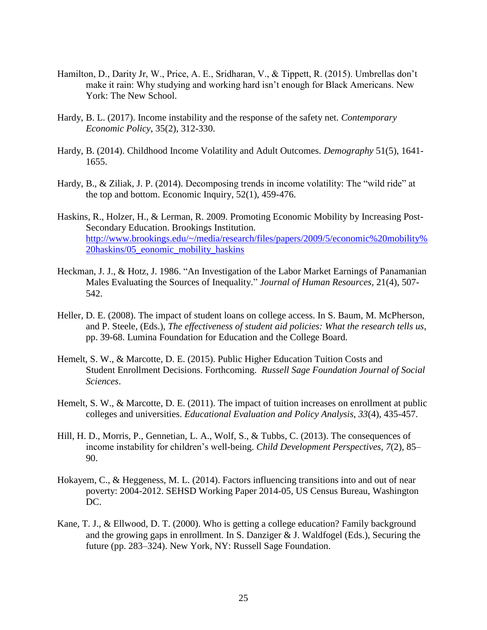- Hamilton, D., Darity Jr, W., Price, A. E., Sridharan, V., & Tippett, R. (2015). Umbrellas don't make it rain: Why studying and working hard isn't enough for Black Americans. New York: The New School.
- Hardy, B. L. (2017). Income instability and the response of the safety net. *Contemporary Economic Policy*, 35(2), 312-330.
- Hardy, B. (2014). Childhood Income Volatility and Adult Outcomes. *Demography* 51(5), 1641- 1655.
- Hardy, B., & Ziliak, J. P. (2014). Decomposing trends in income volatility: The "wild ride" at the top and bottom. Economic Inquiry, 52(1), 459-476.
- Haskins, R., Holzer, H., & Lerman, R. 2009. Promoting Economic Mobility by Increasing Post-Secondary Education. Brookings Institution. [http://www.brookings.edu/~/media/research/files/papers/2009/5/economic%20mobility%](http://www.brookings.edu/~/media/research/files/papers/2009/5/economic%20mobility%20haskins/05_eonomic_mobility_haskins) [20haskins/05\\_eonomic\\_mobility\\_haskins](http://www.brookings.edu/~/media/research/files/papers/2009/5/economic%20mobility%20haskins/05_eonomic_mobility_haskins)
- Heckman, J. J., & Hotz, J. 1986. "An Investigation of the Labor Market Earnings of Panamanian Males Evaluating the Sources of Inequality." *Journal of Human Resources,* 21(4), 507- 542.
- Heller, D. E. (2008). The impact of student loans on college access. In S. Baum, M. McPherson, and P. Steele, (Eds.), *The effectiveness of student aid policies: What the research tells us*, pp. 39-68. Lumina Foundation for Education and the College Board.
- Hemelt, S. W., & Marcotte, D. E. (2015). Public Higher Education Tuition Costs and Student Enrollment Decisions. Forthcoming. *Russell Sage Foundation Journal of Social Sciences*.
- Hemelt, S. W., & Marcotte, D. E. (2011). The impact of tuition increases on enrollment at public colleges and universities. *Educational Evaluation and Policy Analysis*, *33*(4), 435-457.
- Hill, H. D., Morris, P., Gennetian, L. A., Wolf, S., & Tubbs, C. (2013). The consequences of income instability for children's well-being. *Child Development Perspectives, 7*(2), 85– 90.
- Hokayem, C., & Heggeness, M. L. (2014). Factors influencing transitions into and out of near poverty: 2004-2012. SEHSD Working Paper 2014-05, US Census Bureau, Washington DC.
- Kane, T. J., & Ellwood, D. T. (2000). Who is getting a college education? Family background and the growing gaps in enrollment. In S. Danziger & J. Waldfogel (Eds.), Securing the future (pp. 283–324). New York, NY: Russell Sage Foundation.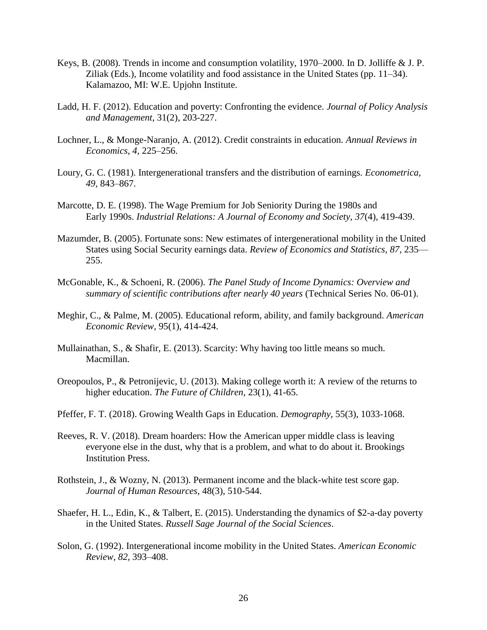- Keys, B. (2008). Trends in income and consumption volatility, 1970–2000. In D. Jolliffe & J. P. Ziliak (Eds.), Income volatility and food assistance in the United States (pp. 11–34). Kalamazoo, MI: W.E. Upjohn Institute.
- Ladd, H. F. (2012). Education and poverty: Confronting the evidence. *Journal of Policy Analysis and Management*, 31(2), 203-227.
- Lochner, L., & Monge-Naranjo, A. (2012). Credit constraints in education. *Annual Reviews in Economics, 4,* 225–256.
- Loury, G. C. (1981). Intergenerational transfers and the distribution of earnings. *Econometrica, 49,* 843–867.
- Marcotte, D. E. (1998). The Wage Premium for Job Seniority During the 1980s and Early 1990s. *Industrial Relations: A Journal of Economy and Society*, *37*(4), 419-439.
- Mazumder, B. (2005). Fortunate sons: New estimates of intergenerational mobility in the United States using Social Security earnings data. *Review of Economics and Statistics, 87,* 235–– 255.
- McGonable, K., & Schoeni, R. (2006). *The Panel Study of Income Dynamics: Overview and summary of scientific contributions after nearly 40 years* (Technical Series No. 06-01).
- Meghir, C., & Palme, M. (2005). Educational reform, ability, and family background. *American Economic Review*, 95(1), 414-424.
- Mullainathan, S., & Shafir, E. (2013). Scarcity: Why having too little means so much. Macmillan.
- Oreopoulos, P., & Petronijevic, U. (2013). Making college worth it: A review of the returns to higher education. *The Future of Children*, 23(1), 41-65.
- Pfeffer, F. T. (2018). Growing Wealth Gaps in Education. *Demography*, 55(3), 1033-1068.
- Reeves, R. V. (2018). Dream hoarders: How the American upper middle class is leaving everyone else in the dust, why that is a problem, and what to do about it. Brookings Institution Press.
- Rothstein, J., & Wozny, N. (2013). Permanent income and the black-white test score gap. *Journal of Human Resources*, 48(3), 510-544.
- Shaefer, H. L., Edin, K., & Talbert, E. (2015). Understanding the dynamics of \$2-a-day poverty in the United States. *Russell Sage Journal of the Social Sciences*.
- Solon, G. (1992). Intergenerational income mobility in the United States. *American Economic Review, 82,* 393–408.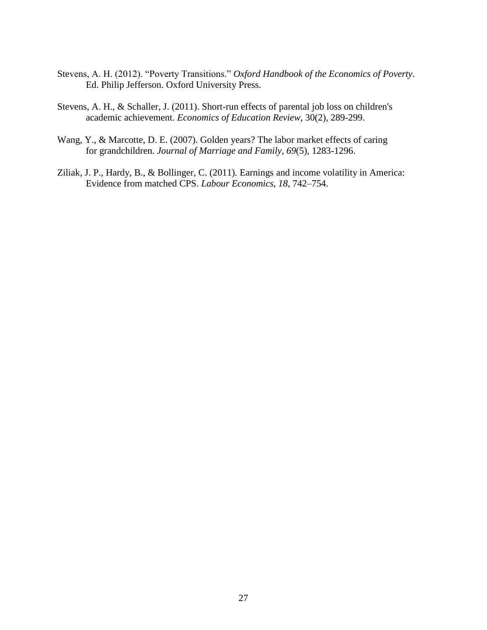- Stevens, A. H. (2012). "Poverty Transitions." *Oxford Handbook of the Economics of Poverty*. Ed. Philip Jefferson. Oxford University Press.
- Stevens, A. H., & Schaller, J. (2011). Short-run effects of parental job loss on children's academic achievement. *Economics of Education Review*, 30(2), 289-299.
- Wang, Y., & Marcotte, D. E. (2007). Golden years? The labor market effects of caring for grandchildren. *Journal of Marriage and Family*, *69*(5), 1283-1296.
- Ziliak, J. P., Hardy, B., & Bollinger, C. (2011). Earnings and income volatility in America: Evidence from matched CPS. *Labour Economics, 18,* 742–754.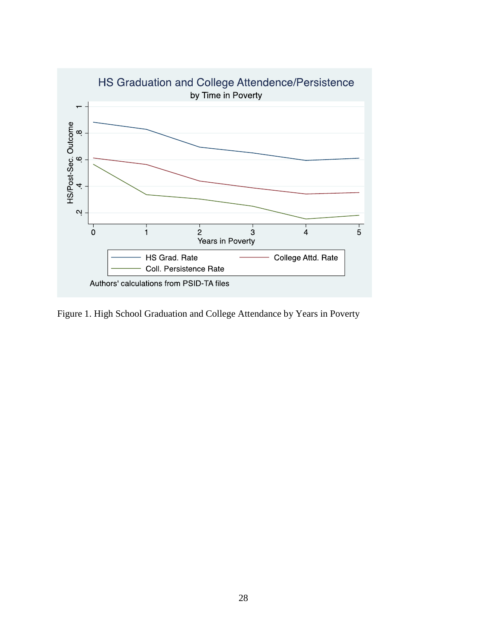

Figure 1. High School Graduation and College Attendance by Years in Poverty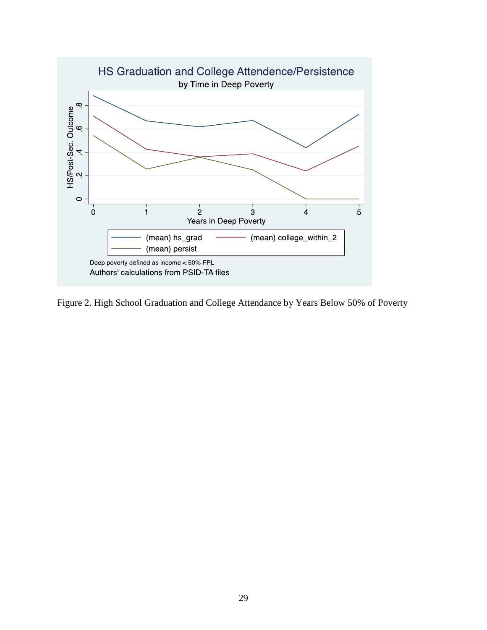

Figure 2. High School Graduation and College Attendance by Years Below 50% of Poverty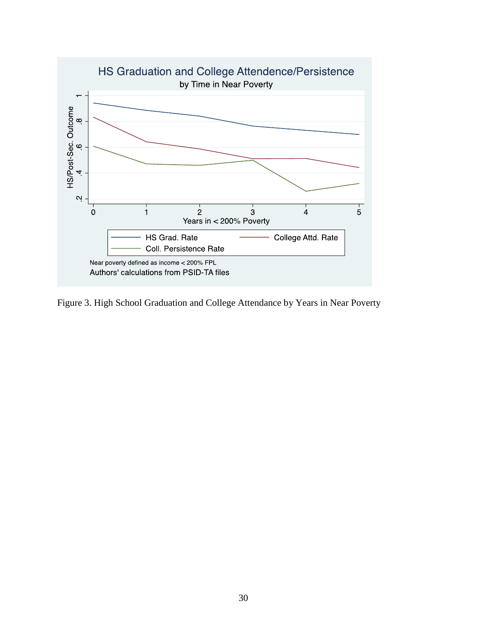

Figure 3. High School Graduation and College Attendance by Years in Near Poverty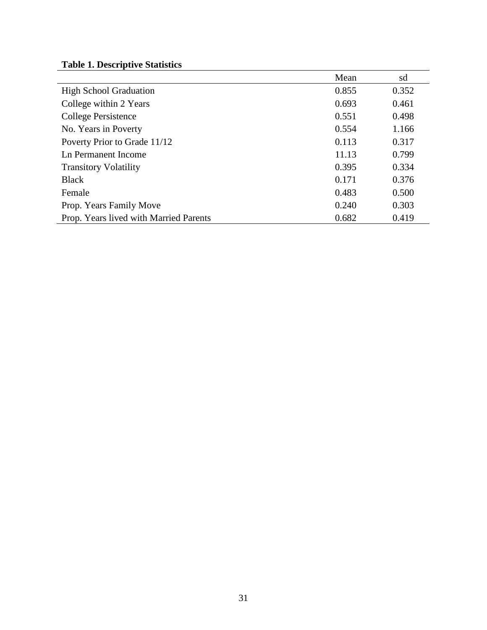# **Table 1. Descriptive Statistics**

|                                        | Mean  | sd    |
|----------------------------------------|-------|-------|
| <b>High School Graduation</b>          | 0.855 | 0.352 |
| College within 2 Years                 | 0.693 | 0.461 |
| <b>College Persistence</b>             | 0.551 | 0.498 |
| No. Years in Poverty                   | 0.554 | 1.166 |
| Poverty Prior to Grade 11/12           | 0.113 | 0.317 |
| Ln Permanent Income                    | 11.13 | 0.799 |
| <b>Transitory Volatility</b>           | 0.395 | 0.334 |
| <b>Black</b>                           | 0.171 | 0.376 |
| Female                                 | 0.483 | 0.500 |
| Prop. Years Family Move                | 0.240 | 0.303 |
| Prop. Years lived with Married Parents | 0.682 | 0.419 |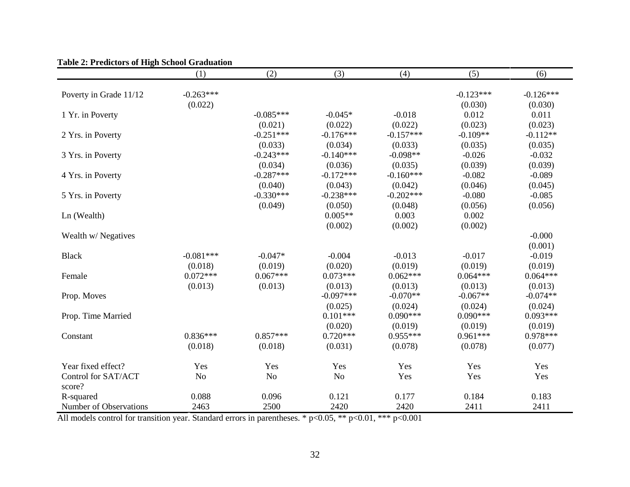|                        | (1)            | (2)            | (3)            | (4)         | (5)         | (6)         |
|------------------------|----------------|----------------|----------------|-------------|-------------|-------------|
|                        |                |                |                |             |             |             |
| Poverty in Grade 11/12 | $-0.263***$    |                |                |             | $-0.123***$ | $-0.126***$ |
|                        | (0.022)        |                |                |             | (0.030)     | (0.030)     |
| 1 Yr. in Poverty       |                | $-0.085***$    | $-0.045*$      | $-0.018$    | 0.012       | 0.011       |
|                        |                | (0.021)        | (0.022)        | (0.022)     | (0.023)     | (0.023)     |
| 2 Yrs. in Poverty      |                | $-0.251***$    | $-0.176***$    | $-0.157***$ | $-0.109**$  | $-0.112**$  |
|                        |                | (0.033)        | (0.034)        | (0.033)     | (0.035)     | (0.035)     |
| 3 Yrs. in Poverty      |                | $-0.243***$    | $-0.140***$    | $-0.098**$  | $-0.026$    | $-0.032$    |
|                        |                | (0.034)        | (0.036)        | (0.035)     | (0.039)     | (0.039)     |
| 4 Yrs. in Poverty      |                | $-0.287***$    | $-0.172***$    | $-0.160***$ | $-0.082$    | $-0.089$    |
|                        |                | (0.040)        | (0.043)        | (0.042)     | (0.046)     | (0.045)     |
| 5 Yrs. in Poverty      |                | $-0.330***$    | $-0.238***$    | $-0.202***$ | $-0.080$    | $-0.085$    |
|                        |                | (0.049)        | (0.050)        | (0.048)     | (0.056)     | (0.056)     |
| Ln (Wealth)            |                |                | $0.005**$      | 0.003       | 0.002       |             |
|                        |                |                | (0.002)        | (0.002)     | (0.002)     |             |
| Wealth w/Negatives     |                |                |                |             |             | $-0.000$    |
|                        |                |                |                |             |             | (0.001)     |
| <b>Black</b>           | $-0.081***$    | $-0.047*$      | $-0.004$       | $-0.013$    | $-0.017$    | $-0.019$    |
|                        | (0.018)        | (0.019)        | (0.020)        | (0.019)     | (0.019)     | (0.019)     |
| Female                 | $0.072***$     | $0.067***$     | $0.073***$     | $0.062***$  | $0.064***$  | $0.064***$  |
|                        | (0.013)        | (0.013)        | (0.013)        | (0.013)     | (0.013)     | (0.013)     |
| Prop. Moves            |                |                | $-0.097***$    | $-0.070**$  | $-0.067**$  | $-0.074**$  |
|                        |                |                | (0.025)        | (0.024)     | (0.024)     | (0.024)     |
| Prop. Time Married     |                |                | $0.101***$     | $0.090***$  | $0.090***$  | $0.093***$  |
|                        |                |                | (0.020)        | (0.019)     | (0.019)     | (0.019)     |
| Constant               | $0.836***$     | $0.857***$     | $0.720***$     | $0.955***$  | $0.961***$  | $0.978***$  |
|                        | (0.018)        | (0.018)        | (0.031)        | (0.078)     | (0.078)     | (0.077)     |
| Year fixed effect?     | Yes            | Yes            | Yes            | Yes         | Yes         | Yes         |
| Control for SAT/ACT    | N <sub>o</sub> | N <sub>o</sub> | N <sub>o</sub> | Yes         | Yes         | Yes         |
| score?                 |                |                |                |             |             |             |
| R-squared              | 0.088          | 0.096          | 0.121          | 0.177       | 0.184       | 0.183       |
| Number of Observations | 2463           | 2500           | 2420           | 2420        | 2411        | 2411        |

**Table 2: Predictors of High School Graduation**

All models control for transition year. Standard errors in parentheses. \* p<0.05, \*\* p<0.01, \*\*\* p<0.001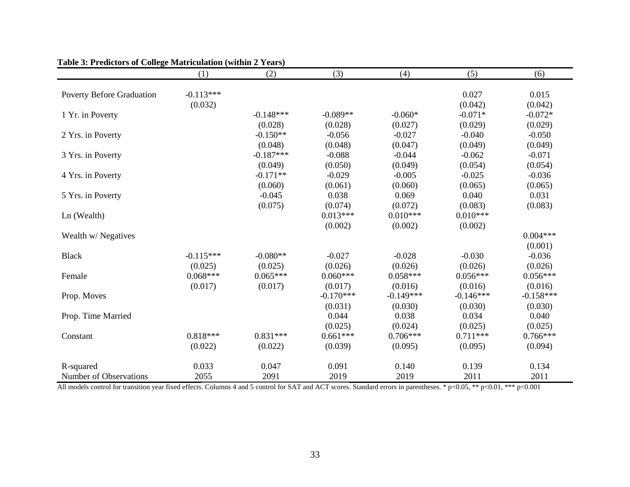|                                  | (1)         | (2)         | (3)         | (4)         | (5)         | (6)         |
|----------------------------------|-------------|-------------|-------------|-------------|-------------|-------------|
|                                  |             |             |             |             |             |             |
| <b>Poverty Before Graduation</b> | $-0.113***$ |             |             |             | 0.027       | 0.015       |
|                                  | (0.032)     |             |             |             | (0.042)     | (0.042)     |
| 1 Yr. in Poverty                 |             | $-0.148***$ | $-0.089**$  | $-0.060*$   | $-0.071*$   | $-0.072*$   |
|                                  |             | (0.028)     | (0.028)     | (0.027)     | (0.029)     | (0.029)     |
| 2 Yrs. in Poverty                |             | $-0.150**$  | $-0.056$    | $-0.027$    | $-0.040$    | $-0.050$    |
|                                  |             | (0.048)     | (0.048)     | (0.047)     | (0.049)     | (0.049)     |
| 3 Yrs. in Poverty                |             | $-0.187***$ | $-0.088$    | $-0.044$    | $-0.062$    | $-0.071$    |
|                                  |             | (0.049)     | (0.050)     | (0.049)     | (0.054)     | (0.054)     |
| 4 Yrs. in Poverty                |             | $-0.171**$  | $-0.029$    | $-0.005$    | $-0.025$    | $-0.036$    |
|                                  |             | (0.060)     | (0.061)     | (0.060)     | (0.065)     | (0.065)     |
| 5 Yrs. in Poverty                |             | $-0.045$    | 0.038       | 0.069       | 0.040       | 0.031       |
|                                  |             | (0.075)     | (0.074)     | (0.072)     | (0.083)     | (0.083)     |
| Ln (Wealth)                      |             |             | $0.013***$  | $0.010***$  | $0.010***$  |             |
|                                  |             |             | (0.002)     | (0.002)     | (0.002)     |             |
| Wealth w/ Negatives              |             |             |             |             |             | $0.004***$  |
|                                  |             |             |             |             |             | (0.001)     |
| <b>Black</b>                     | $-0.115***$ | $-0.080**$  | $-0.027$    | $-0.028$    | $-0.030$    | $-0.036$    |
|                                  | (0.025)     | (0.025)     | (0.026)     | (0.026)     | (0.026)     | (0.026)     |
| Female                           | $0.068***$  | $0.065***$  | $0.060***$  | $0.058***$  | $0.056***$  | $0.056***$  |
|                                  | (0.017)     | (0.017)     | (0.017)     | (0.016)     | (0.016)     | (0.016)     |
| Prop. Moves                      |             |             | $-0.170***$ | $-0.149***$ | $-0.146***$ | $-0.158***$ |
|                                  |             |             | (0.031)     | (0.030)     | (0.030)     | (0.030)     |
| Prop. Time Married               |             |             | 0.044       | 0.038       | 0.034       | 0.040       |
|                                  |             |             | (0.025)     | (0.024)     | (0.025)     | (0.025)     |
| Constant                         | $0.818***$  | $0.831***$  | $0.661***$  | $0.706***$  | $0.711***$  | $0.766***$  |
|                                  | (0.022)     | (0.022)     | (0.039)     | (0.095)     | (0.095)     | (0.094)     |
| R-squared                        | 0.033       | 0.047       | 0.091       | 0.140       | 0.139       | 0.134       |
| Number of Observations           | 2055        | 2091        | 2019        | 2019        | 2011        | 2011        |

**Table 3: Predictors of College Matriculation (within 2 Years)**

All models control for transition year fixed effects. Columns 4 and 5 control for SAT and ACT scores. Standard errors in parentheses. \* p<0.05, \*\* p<0.01, \*\*\* p<0.001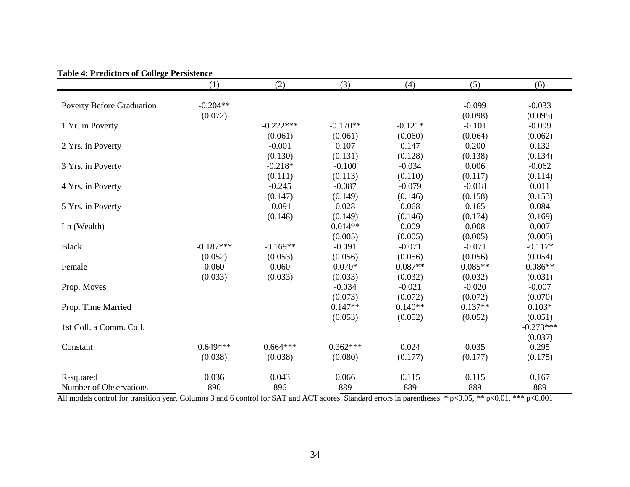|                                  | (1)         | (2)         | (3)        | (4)       | (5)       | (6)         |
|----------------------------------|-------------|-------------|------------|-----------|-----------|-------------|
| <b>Poverty Before Graduation</b> | $-0.204**$  |             |            |           | $-0.099$  | $-0.033$    |
|                                  | (0.072)     |             |            |           | (0.098)   | (0.095)     |
| 1 Yr. in Poverty                 |             | $-0.222***$ | $-0.170**$ | $-0.121*$ | $-0.101$  | $-0.099$    |
|                                  |             | (0.061)     | (0.061)    | (0.060)   | (0.064)   | (0.062)     |
| 2 Yrs. in Poverty                |             | $-0.001$    | 0.107      | 0.147     | 0.200     | 0.132       |
|                                  |             | (0.130)     | (0.131)    | (0.128)   | (0.138)   | (0.134)     |
| 3 Yrs. in Poverty                |             | $-0.218*$   | $-0.100$   | $-0.034$  | 0.006     | $-0.062$    |
|                                  |             | (0.111)     | (0.113)    | (0.110)   | (0.117)   | (0.114)     |
| 4 Yrs. in Poverty                |             | $-0.245$    | $-0.087$   | $-0.079$  | $-0.018$  | 0.011       |
|                                  |             | (0.147)     | (0.149)    | (0.146)   | (0.158)   | (0.153)     |
| 5 Yrs. in Poverty                |             | $-0.091$    | 0.028      | 0.068     | 0.165     | 0.084       |
|                                  |             | (0.148)     | (0.149)    | (0.146)   | (0.174)   | (0.169)     |
| Ln (Wealth)                      |             |             | $0.014**$  | 0.009     | 0.008     | 0.007       |
|                                  |             |             | (0.005)    | (0.005)   | (0.005)   | (0.005)     |
| <b>Black</b>                     | $-0.187***$ | $-0.169**$  | $-0.091$   | $-0.071$  | $-0.071$  | $-0.117*$   |
|                                  | (0.052)     | (0.053)     | (0.056)    | (0.056)   | (0.056)   | (0.054)     |
| Female                           | 0.060       | 0.060       | $0.070*$   | $0.087**$ | $0.085**$ | $0.086**$   |
|                                  | (0.033)     | (0.033)     | (0.033)    | (0.032)   | (0.032)   | (0.031)     |
| Prop. Moves                      |             |             | $-0.034$   | $-0.021$  | $-0.020$  | $-0.007$    |
|                                  |             |             | (0.073)    | (0.072)   | (0.072)   | (0.070)     |
| Prop. Time Married               |             |             | $0.147**$  | $0.140**$ | $0.137**$ | $0.103*$    |
|                                  |             |             | (0.053)    | (0.052)   | (0.052)   | (0.051)     |
| 1st Coll. a Comm. Coll.          |             |             |            |           |           | $-0.273***$ |
|                                  |             |             |            |           |           | (0.037)     |
| Constant                         | $0.649***$  | $0.664***$  | $0.362***$ | 0.024     | 0.035     | 0.295       |
|                                  | (0.038)     | (0.038)     | (0.080)    | (0.177)   | (0.177)   | (0.175)     |
| R-squared                        | 0.036       | 0.043       | 0.066      | 0.115     | 0.115     | 0.167       |
| Number of Observations           | 890         | 896         | 889        | 889       | 889       | 889         |

#### **Table 4: Predictors of College Persistence**

All models control for transition year. Columns 3 and 6 control for SAT and ACT scores. Standard errors in parentheses. \* p<0.05, \*\* p<0.01, \*\*\* p<0.001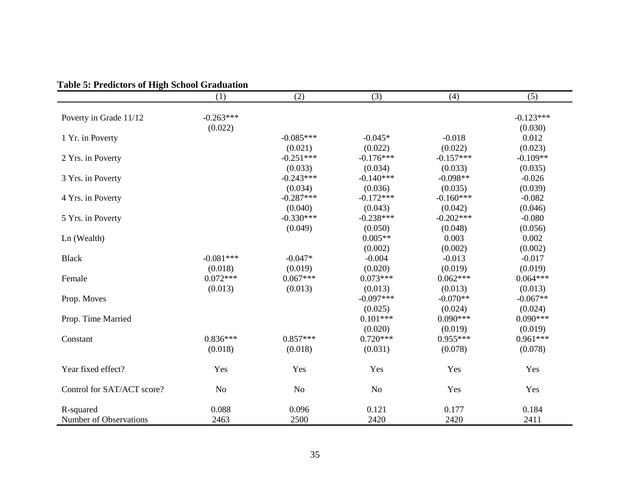|                            | (1)            | (2)            | (3)            | (4)         | (5)         |
|----------------------------|----------------|----------------|----------------|-------------|-------------|
|                            |                |                |                |             |             |
| Poverty in Grade 11/12     | $-0.263***$    |                |                |             | $-0.123***$ |
|                            | (0.022)        |                |                |             | (0.030)     |
| 1 Yr. in Poverty           |                | $-0.085***$    | $-0.045*$      | $-0.018$    | 0.012       |
|                            |                | (0.021)        | (0.022)        | (0.022)     | (0.023)     |
| 2 Yrs. in Poverty          |                | $-0.251***$    | $-0.176***$    | $-0.157***$ | $-0.109**$  |
|                            |                | (0.033)        | (0.034)        | (0.033)     | (0.035)     |
| 3 Yrs. in Poverty          |                | $-0.243***$    | $-0.140***$    | $-0.098**$  | $-0.026$    |
|                            |                | (0.034)        | (0.036)        | (0.035)     | (0.039)     |
| 4 Yrs. in Poverty          |                | $-0.287***$    | $-0.172***$    | $-0.160***$ | $-0.082$    |
|                            |                | (0.040)        | (0.043)        | (0.042)     | (0.046)     |
| 5 Yrs. in Poverty          |                | $-0.330***$    | $-0.238***$    | $-0.202***$ | $-0.080$    |
|                            |                | (0.049)        | (0.050)        | (0.048)     | (0.056)     |
| Ln (Wealth)                |                |                | $0.005**$      | 0.003       | 0.002       |
|                            |                |                | (0.002)        | (0.002)     | (0.002)     |
| <b>Black</b>               | $-0.081***$    | $-0.047*$      | $-0.004$       | $-0.013$    | $-0.017$    |
|                            | (0.018)        | (0.019)        | (0.020)        | (0.019)     | (0.019)     |
| Female                     | $0.072***$     | $0.067***$     | $0.073***$     | $0.062***$  | $0.064***$  |
|                            | (0.013)        | (0.013)        | (0.013)        | (0.013)     | (0.013)     |
| Prop. Moves                |                |                | $-0.097***$    | $-0.070**$  | $-0.067**$  |
|                            |                |                | (0.025)        | (0.024)     | (0.024)     |
| Prop. Time Married         |                |                | $0.101***$     | $0.090***$  | $0.090***$  |
|                            |                |                | (0.020)        | (0.019)     | (0.019)     |
| Constant                   | $0.836***$     | $0.857***$     | $0.720***$     | $0.955***$  | $0.961***$  |
|                            | (0.018)        | (0.018)        | (0.031)        | (0.078)     | (0.078)     |
|                            |                |                |                |             |             |
| Year fixed effect?         | Yes            | Yes            | Yes            | Yes         | Yes         |
| Control for SAT/ACT score? | N <sub>o</sub> | N <sub>o</sub> | N <sub>o</sub> | Yes         | Yes         |
| R-squared                  | 0.088          | 0.096          | 0.121          | 0.177       | 0.184       |
| Number of Observations     | 2463           | 2500           | 2420           | 2420        | 2411        |

# **Table 5: Predictors of High School Graduation**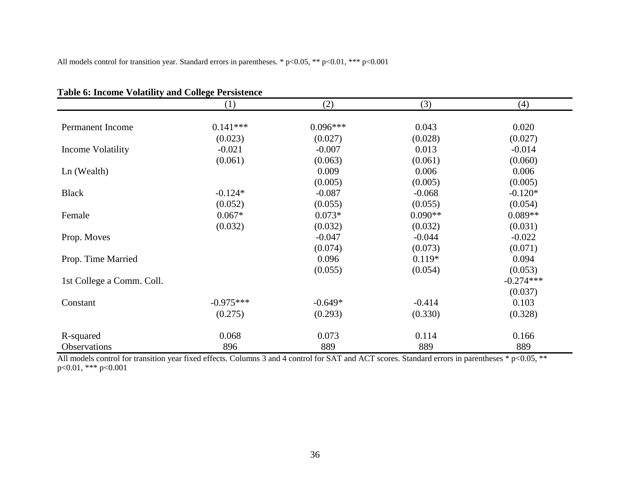All models control for transition year. Standard errors in parentheses. \* p<0.05, \*\* p<0.01, \*\*\* p<0.001

|                           | (1)         | (2)        | (3)       | (4)         |
|---------------------------|-------------|------------|-----------|-------------|
|                           |             |            |           |             |
| Permanent Income          | $0.141***$  | $0.096***$ | 0.043     | 0.020       |
|                           | (0.023)     | (0.027)    | (0.028)   | (0.027)     |
| Income Volatility         | $-0.021$    | $-0.007$   | 0.013     | $-0.014$    |
|                           | (0.061)     | (0.063)    | (0.061)   | (0.060)     |
| Ln (Wealth)               |             | 0.009      | 0.006     | 0.006       |
|                           |             | (0.005)    | (0.005)   | (0.005)     |
| <b>Black</b>              | $-0.124*$   | $-0.087$   | $-0.068$  | $-0.120*$   |
|                           | (0.052)     | (0.055)    | (0.055)   | (0.054)     |
| Female                    | $0.067*$    | $0.073*$   | $0.090**$ | $0.089**$   |
|                           | (0.032)     | (0.032)    | (0.032)   | (0.031)     |
| Prop. Moves               |             | $-0.047$   | $-0.044$  | $-0.022$    |
|                           |             | (0.074)    | (0.073)   | (0.071)     |
| Prop. Time Married        |             | 0.096      | $0.119*$  | 0.094       |
|                           |             | (0.055)    | (0.054)   | (0.053)     |
| 1st College a Comm. Coll. |             |            |           | $-0.274***$ |
|                           |             |            |           | (0.037)     |
| Constant                  | $-0.975***$ | $-0.649*$  | $-0.414$  | 0.103       |
|                           | (0.275)     | (0.293)    | (0.330)   | (0.328)     |
| R-squared                 | 0.068       | 0.073      | 0.114     | 0.166       |
| Observations              | 896         | 889        | 889       | 889         |

**Table 6: Income Volatility and College Persistence**

All models control for transition year fixed effects. Columns 3 and 4 control for SAT and ACT scores. Standard errors in parentheses \* p<0.05, \*\* p<0.01, \*\*\* p<0.001